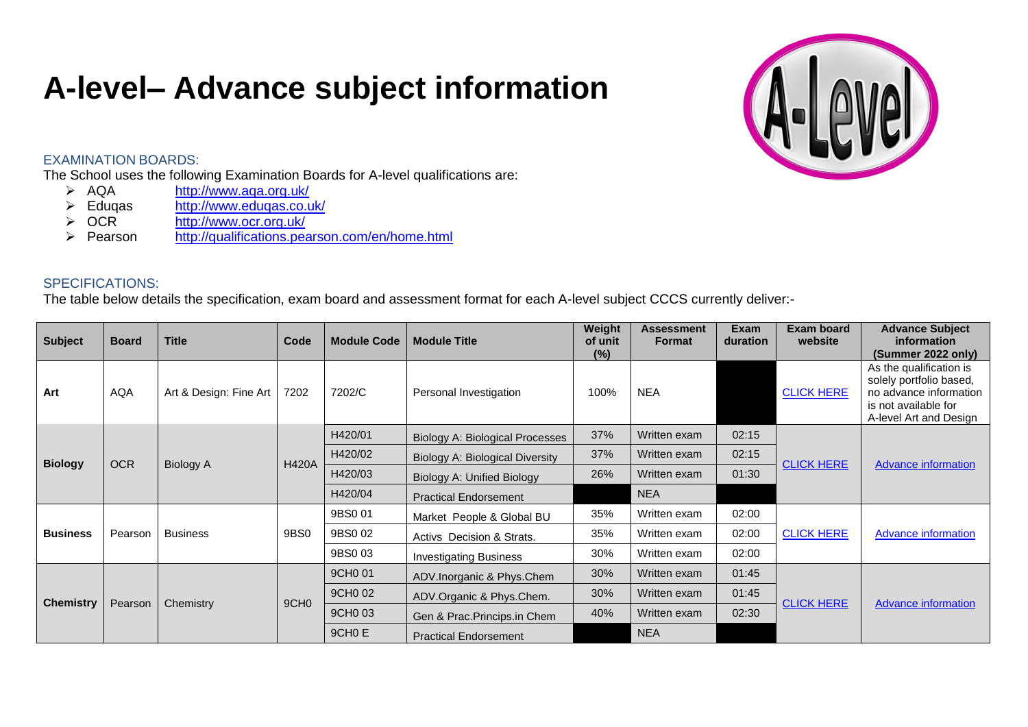## **A-level– Advance subject information**



## EXAMINATION BOARDS:

The School uses the following Examination Boards for A-level qualifications are:<br>  $\triangleright$  AQA http://www.aqa.org.uk/

- > AQA <http://www.aqa.org.uk/><br>> Eduqas http://www.eduqas.co.u
- > Eduqas <http://www.eduqas.co.uk/><br>
→ OCR http://www.ocr.org.uk/
- <http://www.ocr.org.uk/>
- Pearson <http://qualifications.pearson.com/en/home.html>

## SPECIFICATIONS:

The table below details the specification, exam board and assessment format for each A-level subject CCCS currently deliver:-

| <b>Subject</b>   | <b>Board</b> | <b>Title</b>           | Code             | <b>Module Code</b> | <b>Module Title</b>                    | Weight<br>of unit<br>$(\%)$ | <b>Assessment</b><br><b>Format</b> | Exam<br><b>duration</b> | <b>Exam board</b><br>website | <b>Advance Subject</b><br>information<br>(Summer 2022 only)                                                                    |
|------------------|--------------|------------------------|------------------|--------------------|----------------------------------------|-----------------------------|------------------------------------|-------------------------|------------------------------|--------------------------------------------------------------------------------------------------------------------------------|
| Art              | <b>AQA</b>   | Art & Design: Fine Art | 7202             | 7202/C             | Personal Investigation                 | 100%                        | <b>NEA</b>                         |                         | <b>CLICK HERE</b>            | As the qualification is<br>solely portfolio based,<br>no advance information<br>is not available for<br>A-level Art and Design |
|                  |              | <b>Biology A</b>       |                  | H420/01            | <b>Biology A: Biological Processes</b> | 37%                         | Written exam                       | 02:15                   | <b>CLICK HERE</b>            |                                                                                                                                |
| <b>Biology</b>   | <b>OCR</b>   |                        | <b>H420A</b>     | H420/02            | Biology A: Biological Diversity        | 37%                         | Written exam                       | 02:15                   |                              | Advance information                                                                                                            |
|                  |              |                        |                  | H420/03            | Biology A: Unified Biology             | 26%                         | Written exam                       | 01:30                   |                              |                                                                                                                                |
|                  |              |                        |                  | H420/04            | <b>Practical Endorsement</b>           |                             | <b>NEA</b>                         |                         |                              |                                                                                                                                |
|                  | Pearson      | <b>Business</b>        | 9BS0             | 9BS0 01            | Market People & Global BU              | 35%                         | Written exam                       | 02:00                   | <b>CLICK HERE</b>            |                                                                                                                                |
| <b>Business</b>  |              |                        |                  | 9BS0 02            | Activs Decision & Strats.              | 35%                         | Written exam                       | 02:00                   |                              | <b>Advance information</b>                                                                                                     |
|                  |              |                        |                  | 9BS0 03            | <b>Investigating Business</b>          | 30%                         | Written exam                       | 02:00                   |                              |                                                                                                                                |
| <b>Chemistry</b> |              | Chemistry              | 9CH <sub>0</sub> | 9CH0 01            | ADV.Inorganic & Phys.Chem              | 30%                         | Written exam                       | 01:45                   |                              |                                                                                                                                |
|                  | Pearson      |                        |                  | 9CH0 02            | ADV.Organic & Phys.Chem.               | 30%                         | Written exam                       | 01:45                   | <b>CLICK HERE</b>            | <b>Advance information</b>                                                                                                     |
|                  |              |                        |                  | 9CH0 03            | Gen & Prac. Princips. in Chem          | 40%                         | Written exam                       | 02:30                   |                              |                                                                                                                                |
|                  |              |                        |                  | 9CH <sub>0</sub> E | <b>Practical Endorsement</b>           |                             | <b>NEA</b>                         |                         |                              |                                                                                                                                |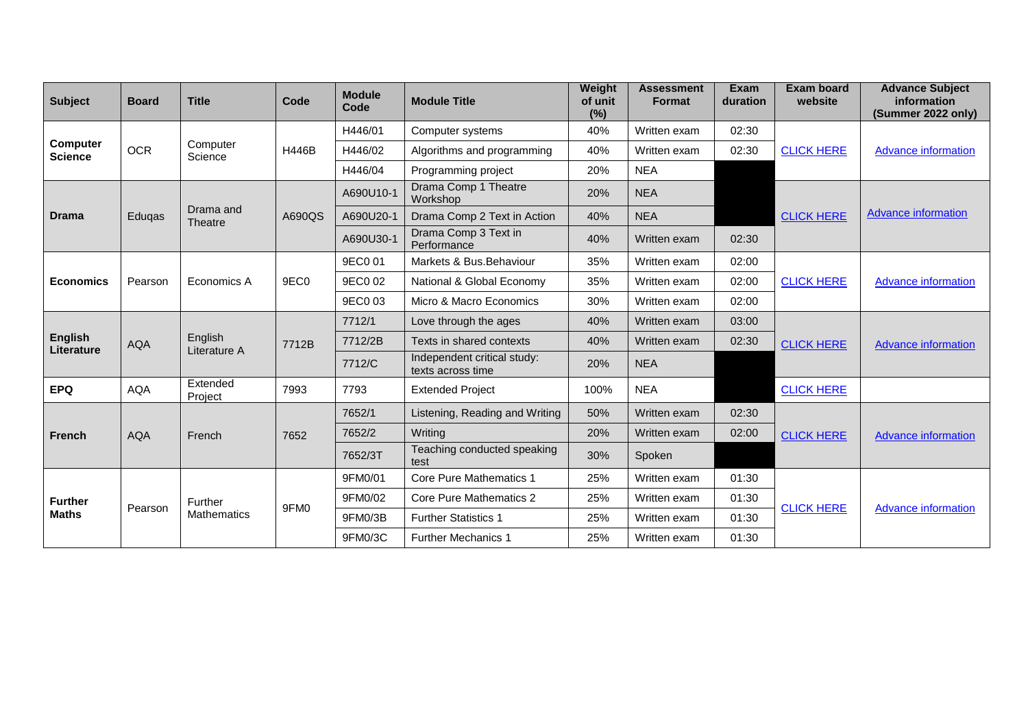| <b>Subject</b>                    | <b>Board</b> | <b>Title</b>                  | Code             | <b>Module</b><br>Code | <b>Module Title</b>                              | Weight<br>of unit<br>(%) | <b>Assessment</b><br><b>Format</b> | <b>Exam</b><br>duration | <b>Exam board</b><br>website | <b>Advance Subject</b><br>information<br>(Summer 2022 only) |
|-----------------------------------|--------------|-------------------------------|------------------|-----------------------|--------------------------------------------------|--------------------------|------------------------------------|-------------------------|------------------------------|-------------------------------------------------------------|
|                                   |              |                               |                  | H446/01               | Computer systems                                 | 40%                      | Written exam                       | 02:30                   |                              |                                                             |
| <b>Computer</b><br><b>Science</b> | <b>OCR</b>   | Computer<br>Science           | H446B            | H446/02               | Algorithms and programming                       | 40%                      | Written exam                       | 02:30                   | <b>CLICK HERE</b>            | <b>Advance information</b>                                  |
|                                   |              |                               |                  | H446/04               | Programming project                              | 20%                      | <b>NEA</b>                         |                         |                              |                                                             |
|                                   |              |                               | A690QS           | A690U10-1             | Drama Comp 1 Theatre<br>Workshop                 | 20%                      | <b>NEA</b>                         |                         |                              | <b>Advance information</b>                                  |
| <b>Drama</b>                      | Eduqas       | Drama and<br><b>Theatre</b>   |                  | A690U20-1             | Drama Comp 2 Text in Action                      | 40%                      | <b>NEA</b>                         |                         | <b>CLICK HERE</b>            |                                                             |
|                                   |              |                               |                  | A690U30-1             | Drama Comp 3 Text in<br>Performance              | 40%                      | Written exam                       | 02:30                   |                              |                                                             |
|                                   | Pearson      | Economics A                   | 9EC0             | 9EC0 01               | Markets & Bus. Behaviour                         | 35%                      | Written exam                       | 02:00                   | <b>CLICK HERE</b>            |                                                             |
| <b>Economics</b>                  |              |                               |                  | 9EC0 02               | National & Global Economy                        | 35%                      | Written exam                       | 02:00                   |                              | <b>Advance information</b>                                  |
|                                   |              |                               |                  | 9EC0 03               | Micro & Macro Economics                          | 30%                      | Written exam                       | 02:00                   |                              |                                                             |
|                                   | <b>AQA</b>   | English<br>Literature A       | 7712B            | 7712/1                | Love through the ages                            | 40%                      | Written exam                       | 03:00                   | <b>CLICK HERE</b>            | <b>Advance information</b>                                  |
| <b>English</b><br>Literature      |              |                               |                  | 7712/2B               | Texts in shared contexts                         | 40%                      | Written exam                       | 02:30                   |                              |                                                             |
|                                   |              |                               |                  | 7712/C                | Independent critical study:<br>texts across time | 20%                      | <b>NEA</b>                         |                         |                              |                                                             |
| <b>EPQ</b>                        | <b>AQA</b>   | Extended<br>Project           | 7993             | 7793                  | <b>Extended Project</b>                          | 100%                     | <b>NEA</b>                         |                         | <b>CLICK HERE</b>            |                                                             |
|                                   |              | French                        | 7652             | 7652/1                | Listening, Reading and Writing                   | 50%                      | Written exam                       | 02:30                   |                              |                                                             |
| <b>French</b>                     | <b>AQA</b>   |                               |                  | 7652/2                | Writing                                          | 20%                      | Written exam                       | 02:00                   | <b>CLICK HERE</b>            | <b>Advance information</b>                                  |
|                                   |              |                               |                  | 7652/3T               | Teaching conducted speaking<br>test              | 30%                      | Spoken                             |                         |                              |                                                             |
| <b>Further</b>                    |              | Further<br><b>Mathematics</b> | 9FM <sub>0</sub> | 9FM0/01               | <b>Core Pure Mathematics 1</b>                   | 25%                      | Written exam                       | 01:30                   |                              |                                                             |
|                                   | Pearson      |                               |                  | 9FM0/02               | <b>Core Pure Mathematics 2</b>                   | 25%                      | Written exam                       | 01:30                   | <b>CLICK HERE</b>            | <b>Advance information</b>                                  |
| <b>Maths</b>                      |              |                               |                  | 9FM0/3B               | <b>Further Statistics 1</b>                      | 25%                      | Written exam                       | 01:30                   |                              |                                                             |
|                                   |              |                               |                  | 9FM0/3C               | <b>Further Mechanics 1</b>                       | 25%                      | Written exam                       | 01:30                   |                              |                                                             |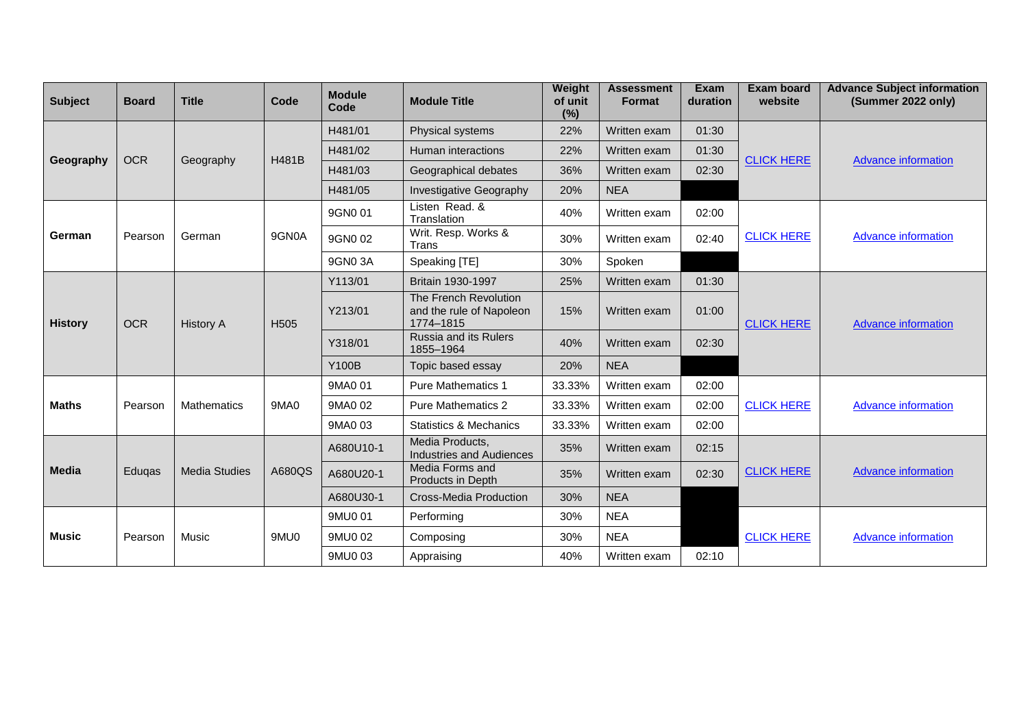| <b>Subject</b> | <b>Board</b> | <b>Title</b>         | Code             | <b>Module</b><br>Code | <b>Module Title</b>                                            | Weight<br>of unit<br>(%) | <b>Assessment</b><br><b>Format</b> | <b>Exam</b><br>duration | <b>Exam board</b><br>website | <b>Advance Subject information</b><br>(Summer 2022 only) |
|----------------|--------------|----------------------|------------------|-----------------------|----------------------------------------------------------------|--------------------------|------------------------------------|-------------------------|------------------------------|----------------------------------------------------------|
|                |              |                      |                  | H481/01               | Physical systems                                               | 22%                      | Written exam                       | 01:30                   |                              | <b>Advance information</b>                               |
|                | <b>OCR</b>   | Geography            | <b>H481B</b>     | H481/02               | Human interactions                                             | 22%                      | Written exam                       | 01:30                   | <b>CLICK HERE</b>            |                                                          |
| Geography      |              |                      |                  | H481/03               | Geographical debates                                           | 36%                      | Written exam                       | 02:30                   |                              |                                                          |
|                |              |                      |                  | H481/05               | <b>Investigative Geography</b>                                 | 20%                      | <b>NEA</b>                         |                         |                              |                                                          |
|                |              |                      | 9GN0A            | 9GN0 01               | Listen Read. &<br>Translation                                  | 40%                      | Written exam                       | 02:00                   |                              | <b>Advance information</b>                               |
| German         | Pearson      | German               |                  | 9GN0 02               | Writ. Resp. Works &<br>Trans                                   | 30%                      | Written exam                       | 02:40                   | <b>CLICK HERE</b>            |                                                          |
|                |              |                      |                  | 9GN03A                | Speaking [TE]                                                  | 30%                      | Spoken                             |                         |                              |                                                          |
|                | <b>OCR</b>   | <b>History A</b>     | H <sub>505</sub> | Y113/01               | Britain 1930-1997                                              | 25%                      | Written exam                       | 01:30                   | <b>CLICK HERE</b>            |                                                          |
| <b>History</b> |              |                      |                  | Y213/01               | The French Revolution<br>and the rule of Napoleon<br>1774-1815 | 15%                      | Written exam                       | 01:00                   |                              | <b>Advance information</b>                               |
|                |              |                      |                  | Y318/01               | Russia and its Rulers<br>1855-1964                             | 40%                      | Written exam                       | 02:30                   |                              |                                                          |
|                |              |                      |                  | <b>Y100B</b>          | Topic based essay                                              | 20%                      | <b>NEA</b>                         |                         |                              |                                                          |
|                | Pearson      | <b>Mathematics</b>   | 9MA0             | 9MA0 01               | <b>Pure Mathematics 1</b>                                      | 33.33%                   | Written exam                       | 02:00                   |                              | <b>Advance information</b>                               |
| <b>Maths</b>   |              |                      |                  | 9MA0 02               | <b>Pure Mathematics 2</b>                                      | 33.33%                   | Written exam                       | 02:00                   | <b>CLICK HERE</b>            |                                                          |
|                |              |                      |                  | 9MA0 03               | Statistics & Mechanics                                         | 33.33%                   | Written exam                       | 02:00                   |                              |                                                          |
|                | Eduqas       | <b>Media Studies</b> | A680QS           | A680U10-1             | Media Products,<br><b>Industries and Audiences</b>             | 35%                      | Written exam                       | 02:15                   | <b>CLICK HERE</b>            | <b>Advance information</b>                               |
| <b>Media</b>   |              |                      |                  | A680U20-1             | Media Forms and<br>Products in Depth                           | 35%                      | Written exam                       | 02:30                   |                              |                                                          |
|                |              |                      |                  | A680U30-1             | <b>Cross-Media Production</b>                                  | 30%                      | <b>NEA</b>                         |                         |                              |                                                          |
|                |              |                      | 9MU0             | 9MU0 01               | Performing                                                     | 30%                      | <b>NEA</b>                         |                         | <b>CLICK HERE</b>            | <b>Advance information</b>                               |
| <b>Music</b>   | Pearson      | Music                |                  | 9MU0 02               | Composing                                                      | 30%                      | <b>NEA</b>                         |                         |                              |                                                          |
|                |              |                      |                  | 9MU0 03               | Appraising                                                     | 40%                      | Written exam                       | 02:10                   |                              |                                                          |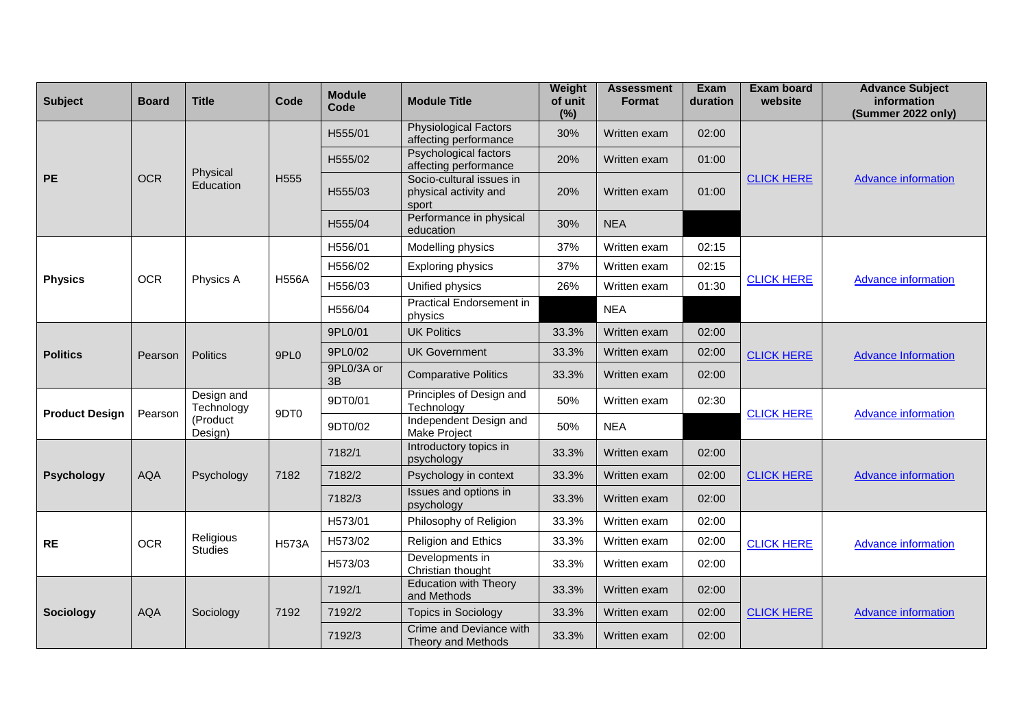| <b>Subject</b>        | <b>Board</b> | <b>Title</b>                                    | Code             | <b>Module</b><br>Code | <b>Module Title</b>                                        | Weight<br>of unit<br>(%) | <b>Assessment</b><br><b>Format</b> | <b>Exam</b><br>duration | <b>Exam board</b><br>website | <b>Advance Subject</b><br>information<br>(Summer 2022 only) |
|-----------------------|--------------|-------------------------------------------------|------------------|-----------------------|------------------------------------------------------------|--------------------------|------------------------------------|-------------------------|------------------------------|-------------------------------------------------------------|
|                       |              |                                                 | H <sub>555</sub> | H555/01               | <b>Physiological Factors</b><br>affecting performance      | 30%                      | Written exam                       | 02:00                   |                              | <b>Advance information</b>                                  |
|                       |              |                                                 |                  | H555/02               | Psychological factors<br>affecting performance             | 20%                      | Written exam                       | 01:00                   |                              |                                                             |
| <b>PE</b>             | <b>OCR</b>   | Physical<br>Education                           |                  | H555/03               | Socio-cultural issues in<br>physical activity and<br>sport | 20%                      | Written exam                       | 01:00                   | <b>CLICK HERE</b>            |                                                             |
|                       |              |                                                 |                  | H555/04               | Performance in physical<br>education                       | 30%                      | <b>NEA</b>                         |                         |                              |                                                             |
|                       |              |                                                 |                  | H556/01               | Modelling physics                                          | 37%                      | Written exam                       | 02:15                   |                              | <b>Advance information</b>                                  |
|                       |              |                                                 | <b>H556A</b>     | H556/02               | Exploring physics                                          | 37%                      | Written exam                       | 02:15                   | <b>CLICK HERE</b>            |                                                             |
| <b>Physics</b>        | <b>OCR</b>   | Physics A                                       |                  | H556/03               | Unified physics                                            | 26%                      | Written exam                       | 01:30                   |                              |                                                             |
|                       |              |                                                 |                  | H556/04               | <b>Practical Endorsement in</b><br>physics                 |                          | <b>NEA</b>                         |                         |                              |                                                             |
|                       | Pearson      | <b>Politics</b>                                 | 9PL <sub>0</sub> | 9PL0/01               | <b>UK Politics</b>                                         | 33.3%                    | Written exam                       | 02:00                   | <b>CLICK HERE</b>            | <b>Advance Information</b>                                  |
| <b>Politics</b>       |              |                                                 |                  | 9PL0/02               | <b>UK Government</b>                                       | 33.3%                    | Written exam                       | 02:00                   |                              |                                                             |
|                       |              |                                                 |                  | 9PL0/3A or<br>3B      | <b>Comparative Politics</b>                                | 33.3%                    | Written exam                       | 02:00                   |                              |                                                             |
| <b>Product Design</b> | Pearson      | Design and<br>Technology<br>(Product<br>Design) | 9DT <sub>0</sub> | 9DT0/01               | Principles of Design and<br>Technology                     | 50%                      | Written exam                       | 02:30                   | <b>CLICK HERE</b>            | <b>Advance information</b>                                  |
|                       |              |                                                 |                  | 9DT0/02               | Independent Design and<br>Make Project                     | 50%                      | <b>NEA</b>                         |                         |                              |                                                             |
|                       |              | Psychology                                      | 7182             | 7182/1                | Introductory topics in<br>psychology                       | 33.3%                    | Written exam                       | 02:00                   |                              | <b>Advance information</b>                                  |
| <b>Psychology</b>     | <b>AQA</b>   |                                                 |                  | 7182/2                | Psychology in context                                      | 33.3%                    | Written exam                       | 02:00                   | <b>CLICK HERE</b>            |                                                             |
|                       |              |                                                 |                  | 7182/3                | Issues and options in<br>psychology                        | 33.3%                    | Written exam                       | 02:00                   |                              |                                                             |
|                       |              |                                                 |                  | H573/01               | Philosophy of Religion                                     | 33.3%                    | Written exam                       | 02:00                   |                              | <b>Advance information</b>                                  |
| <b>RE</b>             | <b>OCR</b>   | Religious<br><b>Studies</b>                     | <b>H573A</b>     | H573/02               | Religion and Ethics                                        | 33.3%                    | Written exam                       | 02:00                   | <b>CLICK HERE</b>            |                                                             |
|                       |              |                                                 |                  | H573/03               | Developments in<br>Christian thought                       | 33.3%                    | Written exam                       | 02:00                   |                              |                                                             |
|                       |              |                                                 | 7192             | 7192/1                | <b>Education with Theory</b><br>and Methods                | 33.3%                    | Written exam                       | 02:00                   | <b>CLICK HERE</b>            |                                                             |
| <b>Sociology</b>      | <b>AQA</b>   | Sociology                                       |                  | 7192/2                | <b>Topics in Sociology</b>                                 | 33.3%                    | Written exam                       | 02:00                   |                              | <b>Advance information</b>                                  |
|                       |              |                                                 |                  | 7192/3                | Crime and Deviance with<br>Theory and Methods              | 33.3%                    | Written exam                       | 02:00                   |                              |                                                             |